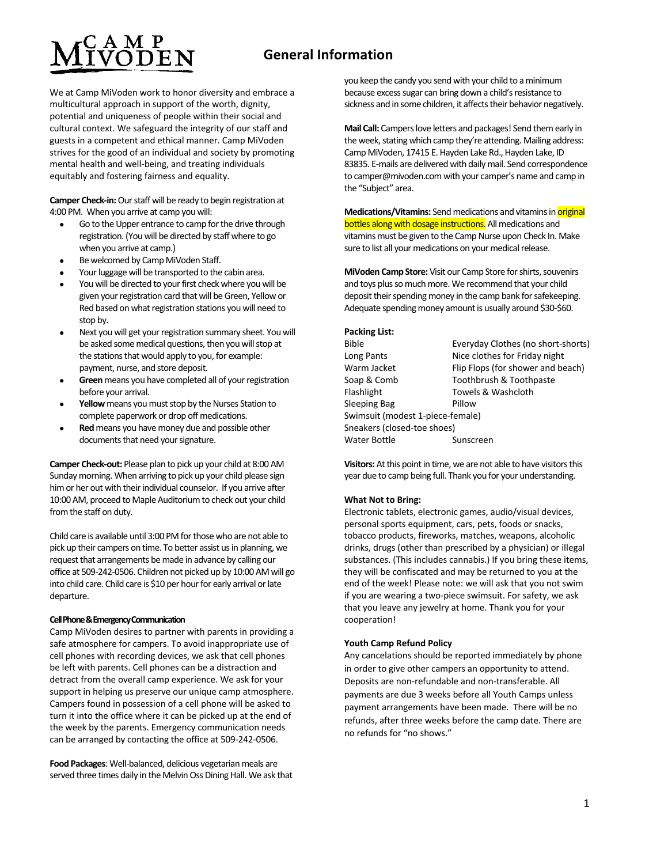## **General Information**

We at Camp MiVoden work to honor diversity and embrace a multicultural approach in support of the worth, dignity, potential and uniqueness of people within their social and cultural context. We safeguard the integrity of our staff and guests in a competent and ethical manner. Camp MiVoden strives for the good of an individual and society by promoting mental health and well-being, and treating individuals equitably and fostering fairness and equality.

**Camper Check-in:**Our staff will be ready to begin registration at 4:00 PM. When you arrive at camp you will:

- Go to the Upper entrance to camp for the drive through registration. (You will be directed by staff where to go when you arrive at camp.)
- Be welcomed by Camp MiVoden Staff.
- Your luggage will be transported to the cabin area.
- You will be directed to your first check where you will be given your registration card that will be Green, Yellow or Red based on what registration stations you will need to stop by.
- Next you will get your registration summary sheet. You will be asked some medical questions, then you will stop at the stations that would apply to you, for example: payment, nurse, and store deposit.
- **Green** means you have completed all of your registration before your arrival.
- **Yellow** means you must stop by the Nurses Station to complete paperwork or drop off medications.
- **Red** means you have money due and possible other documents that need your signature.

**Camper Check-out:** Please plan to pick up your child at 8:00 AM Sunday morning. When arriving to pick up your child please sign him or her out with their individual counselor. If you arrive after 10:00 AM, proceed to Maple Auditorium to check out your child from the staff on duty.

Child care is available until 3:00 PM for those who are not able to pick up their campers on time. To better assist us in planning, we request that arrangements be made in advance by calling our office at 509-242-0506. Children not picked up by 10:00 AM will go into child care. Child care is \$10 per hour for early arrival or late departure.

#### **Cell Phone & Emergency Communication**

Camp MiVoden desires to partner with parents in providing a safe atmosphere for campers. To avoid inappropriate use of cell phones with recording devices, we ask that cell phones be left with parents. Cell phones can be a distraction and detract from the overall camp experience. We ask for your support in helping us preserve our unique camp atmosphere. Campers found in possession of a cell phone will be asked to turn it into the office where it can be picked up at the end of the week by the parents. Emergency communication needs can be arranged by contacting the office at 509-242-0506.

**Food Packages**: Well-balanced, delicious vegetarian meals are served three times daily in the Melvin Oss Dining Hall. We ask that you keep the candy you send with your child to a minimum because excess sugar can bring down a child's resistance to sickness and in some children, it affects their behavior negatively.

**Mail Call:** Campers love letters and packages! Send them early in the week, stating which camp they're attending. Mailing address: Camp MiVoden, 17415 E. Hayden Lake Rd., Hayden Lake, ID 83835. E-mails are delivered with daily mail. Send correspondence to camper@mivoden.com with your camper's name and camp in the "Subject" area.

**Medications/Vitamins:** Send medications and vitamins in **original** bottles along with dosage instructions. All medications and vitamins must be given to the Camp Nurse upon Check In. Make sure to list all your medications on your medical release.

**MiVoden Camp Store:** Visit our Camp Store for shirts, souvenirs and toys plus so much more. We recommend that your child deposit their spending money in the camp bank for safekeeping. Adequate spending money amount is usually around \$30-\$60.

#### **Packing List:**

| <b>Bible</b>                     | Everyday Clothes (no short-shorts) |
|----------------------------------|------------------------------------|
| Long Pants                       | Nice clothes for Friday night      |
| Warm Jacket                      | Flip Flops (for shower and beach)  |
| Soap & Comb                      | Toothbrush & Toothpaste            |
| Flashlight                       | Towels & Washcloth                 |
| Sleeping Bag                     | Pillow                             |
| Swimsuit (modest 1-piece-female) |                                    |
| Sneakers (closed-toe shoes)      |                                    |
| <b>Water Bottle</b>              | Sunscreen                          |
|                                  |                                    |

**Visitors:** At this point in time, we are not able to have visitors this year due to camp being full. Thank you for your understanding.

#### **What Not to Bring:**

Electronic tablets, electronic games, audio/visual devices, personal sports equipment, cars, pets, foods or snacks, tobacco products, fireworks, matches, weapons, alcoholic drinks, drugs (other than prescribed by a physician) or illegal substances. (This includes cannabis.) If you bring these items, they will be confiscated and may be returned to you at the end of the week! Please note: we will ask that you not swim if you are wearing a two-piece swimsuit. For safety, we ask that you leave any jewelry at home. Thank you for your cooperation!

#### **Youth Camp Refund Policy**

Any cancelations should be reported immediately by phone in order to give other campers an opportunity to attend. Deposits are non-refundable and non-transferable. All payments are due 3 weeks before all Youth Camps unless payment arrangements have been made. There will be no refunds, after three weeks before the camp date. There are no refunds for "no shows."